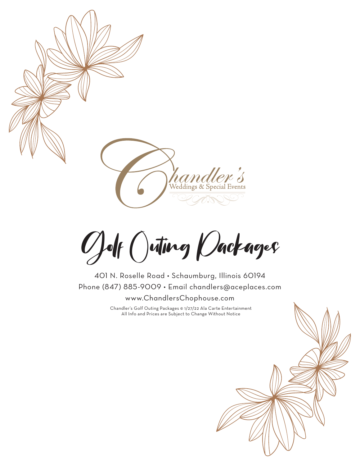

Golf Outing Packages

401 N. Roselle Road • Schaumburg, Illinois 60194 Phone (847) 885-9009 • Email chandlers@aceplaces.com www.ChandlersChophouse.com

> Chandler's Golf Outing Packages © 1/27/22 Ala Carte Entertainment All Info and Prices are Subject to Change Without Notice

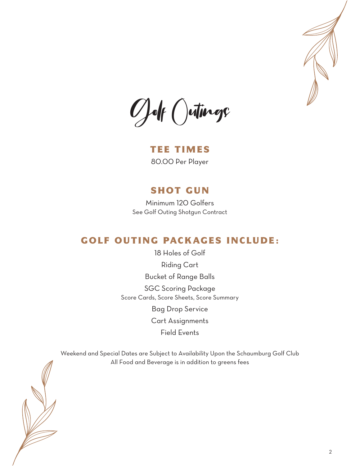

Golf Outings

TEE TIMES 80.00 Per Player

#### SHOT GUN

Minimum 120 Golfers See Golf Outing Shotgun Contract

## GOLF OUTING PACKAGES INCLUDE:

18 Holes of Golf Riding Cart Bucket of Range Balls SGC Scoring Package Score Cards, Score Sheets, Score Summary Bag Drop Service Cart Assignments Field Events

Weekend and Special Dates are Subject to Availability Upon the Schaumburg Golf Club

All Food and Beverage is in addition to greens fees

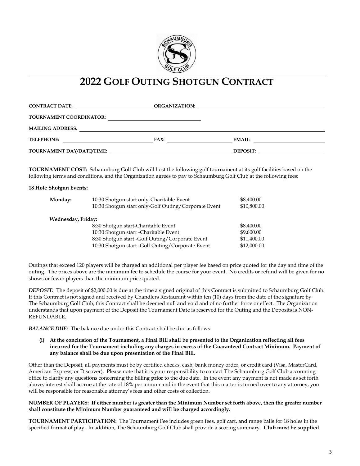

# **2022 GOLF OUTING SHOTGUN CONTRACT 2022 GOLF OUTING SHOTGUN CONTRACT**

| <b>CONTRACT DATE:</b>          | <b>ORGANIZATION:</b> |                 |  |
|--------------------------------|----------------------|-----------------|--|
| <b>TOURNAMENT COORDINATOR:</b> |                      |                 |  |
| <b>MAILING ADDRESS:</b>        |                      |                 |  |
| <b>TELEPHONE:</b>              | FAX:                 | EMAIL:          |  |
| TOURNAMENT DAY/DATE/TIME:      |                      | <b>DEPOSIT:</b> |  |

**TOURNAMENT COST:** Schaumburg Golf Club will host the following golf tournament at its golf facilities based on the following terms and conditions, and the Organization agrees to pay to Schaumburg Golf Club at the following fees:

#### **18 Hole Shotgun Events: 18 Hole Shotgun Events:**

| Monday:            | 10:30 Shotgun start only-Charitable Event            | \$8,400.00  |
|--------------------|------------------------------------------------------|-------------|
|                    | 10:30 Shotgun start only-Golf Outing/Corporate Event | \$10,800.00 |
| Wednesday, Friday: |                                                      |             |
|                    | 8:30 Shotgun start-Charitable Event                  | \$8,400.00  |
|                    | 10:30 Shotgun start - Charitable Event               | \$9,600.00  |
|                    | 8:30 Shotgun start -Golf Outing/Corporate Event      | \$11,400.00 |
|                    | 10:30 Shotgun start -Golf Outing/Corporate Event     | \$12,000.00 |

Outings that exceed 120 players will be charged an additional per player fee based on price quoted for the day and time of the outing. The prices above are the minimum fee to schedule the course for your event. No credits or refund will be given for no shows or fewer players than the minimum price quoted. shows or fewer players than the minimum price quoted.

**DEPOSIT:** The deposit of \$2,000.00 is due at the time a signed original of this Contract is submitted to Schaumburg Golf Club. If this Contract is not signed and received by Chandlers Restaurant within ten (10) days from the date of the signature by The Schaumburg Golf Club, this Contract shall he deemed null and void and of no further force or effect. The Organization understands that upon payment of the Deposit the Tournament Date is reserved for the Outing and the Deposits is NON-REFUNDABLE. REFUNDABLE.

*BALANCE DUE:*The balance due under this Contract shall be due as follows: *BALANCE DUE:*The balance due under this Contract shall be due as follows:

(i) At the conclusion of the Tournament, a Final Bill shall be presented to the Organization reflecting all fees incurred for the Tournament including any charges in excess of the Guaranteed Contract Minimum. Payment of **any balance shall be due upon presentation of the Final Bill. any balance shall be due upon presentation of the Final Bill.**

Other than the Deposit, all payments must be by certified checks, cash, bank money order, or credit card (Visa, MasterCard, American Express, or Discover). Please note that it is your responsibility to contact The Schaumburg Golf Club accounting office to clarify any questions concerning the billing **prior** to the due date. In the event any payment is not made as set forth above, interest shall accrue at the rate of 18% per annum and in the event that this matter is turned over to any attorney, you will be responsible for reasonable attorney's fees and other costs of collection. will be responsible for reasonable attorney's fees and other costs of collection.

#### NUMBER OF PLAYERS: If either number is greater than the Minimum Number set forth above, then the greater number **shall constitute the Minimum Number guaranteed and will be charged accordingly. shall constitute the Minimum Number guaranteed and will be charged accordingly.**

**TOURNAMENT PARTICIPATION:** The Tournament Fee includes green fees, golf cart, and range balls for 18 holes in the specified format of play. In addition, The Schaumburg Golf Club shall provide a scoring summary. **Club must be supplied**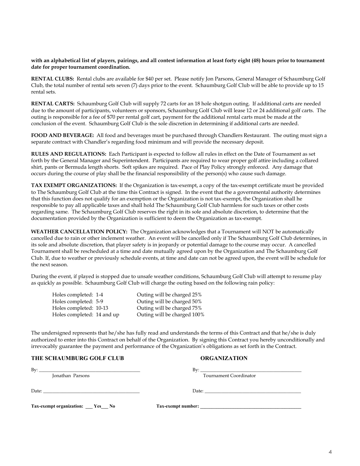#### **with an alphabetical list of players, pairings, and all contest information at least forty eight (48) hours prior to tournament date for proper tournament coordination.**

**RENTAL CLUBS:** Rental clubs are available for \$40 per set. Please notify Jon Parsons, General Manager of Schaumburg Golf Club, the total number of rental sets seven (7) days prior to the event. Schaumburg Golf Club will be able to provide up to 15 rental sets.

**RENTAL CARTS:** Schaumburg Golf Club will supply 72 carts for an 18 hole shotgun outing. If additional carts are needed due to the amount of participants, volunteers or sponsors, Schaumburg Golf Club will lease 12 or 24 additional golf carts. The outing is responsible for a fee of \$70 per rental golf cart, payment for the additional rental carts must be made at the conclusion of the event. Schaumburg Golf Club is the sole discretion in determining if additional carts are needed.

**FOOD AND BEVERAGE:** All food and beverages must be purchased through Chandlers Restaurant. The outing must sign a separate contract with Chandler's regarding food minimum and will provide the necessary deposit.

**RULES AND REGULATIONS:** Each Participant is expected to follow all rules in effect on the Date of Tournament as set forth by the General Manager and Superintendent. Participants are required to wear proper golf attire including a collared shirt, pants or Bermuda length shorts. Soft spikes are required. Pace of Play Policy strongly enforced. Any damage that occurs during the course of play shall be the financial responsibility of the person(s) who cause such damage.

**TAX EXEMPT ORGANIZATIONS:** If the Organization is tax-exempt, a copy of the tax-exempt certificate must be provided to The Schaumburg Golf Club at the time this Contract is signed. In the event that the a governmental authority determines that this function does not qualify for an exemption or the Organization is not tax-exempt, the Organization shall he responsible to pay all applicable taxes and shall hold The Schaumburg Golf Club harmless for such taxes or other costs regarding same. The Schaumburg Golf Club reserves the right in its sole and absolute discretion, to determine that the documentation provided by the Organization is sufficient to deem the Organization as tax-exempt.

**WEATHER CANCELLATION POLICY:** The Organization acknowledges that a Tournament will NOT be automatically cancelled due to rain or other inclement weather. An event will be cancelled only if The Schaumburg Golf Club determines, in its sole and absolute discretion, that player safety is in jeopardy or potential damage to the course may occur. A cancelled Tournament shall be rescheduled at a time and date mutually agreed upon by the Organization and The Schaumburg Golf Club. If, due to weather or previously schedule events, at time and date can not be agreed upon, the event will be schedule for the next season.

During the event, if played is stopped due to unsafe weather conditions, Schaumburg Golf Club will attempt to resume play as quickly as possible. Schaumburg Golf Club will charge the outing based on the following rain policy:

| Holes completed: 1-4       | Outing will be charged 25%  |
|----------------------------|-----------------------------|
| Holes completed: 5-9       | Outing will be charged 50%  |
| Holes completed: 10-13     | Outing will be charged 75%  |
| Holes completed: 14 and up | Outing will be charged 100% |
|                            |                             |

The undersigned represents that he/she has fully read and understands the terms of this Contract and that he/she is duly authorized to enter into this Contract on behalf of the Organization. By signing this Contract you hereby unconditionally and irrevocably guarantee the payment and performance of the Organization's obligations as set forth in the Contract.

#### **THE SCHAUMBURG GOLF CLUB ORGANIZATION**

| $Bv$ :<br><u> 1989 - Johann Stoff, deutscher Stoff, der Stoff, der Stoff, der Stoff, der Stoff, der Stoff, der Stoff, der S</u> | $\mathbf{B} \mathbf{v}$ :                                                                                                                                                                                                                                                                                                                                                                                              |
|---------------------------------------------------------------------------------------------------------------------------------|------------------------------------------------------------------------------------------------------------------------------------------------------------------------------------------------------------------------------------------------------------------------------------------------------------------------------------------------------------------------------------------------------------------------|
| Jonathan Parsons                                                                                                                | Tournament Coordinator                                                                                                                                                                                                                                                                                                                                                                                                 |
|                                                                                                                                 | Date: $\frac{1}{\sqrt{1-\frac{1}{2}}}\left\{ \frac{1}{2}, \frac{1}{2}, \frac{1}{2}, \frac{1}{2}, \frac{1}{2}, \frac{1}{2}, \frac{1}{2}, \frac{1}{2}, \frac{1}{2}, \frac{1}{2}, \frac{1}{2}, \frac{1}{2}, \frac{1}{2}, \frac{1}{2}, \frac{1}{2}, \frac{1}{2}, \frac{1}{2}, \frac{1}{2}, \frac{1}{2}, \frac{1}{2}, \frac{1}{2}, \frac{1}{2}, \frac{1}{2}, \frac{1}{2}, \frac{1}{2}, \frac{1}{2}, \frac{1}{2}, \frac{1}{$ |
| Tax-exempt organization: __ Yes_ No                                                                                             | Tax-exempt number:                                                                                                                                                                                                                                                                                                                                                                                                     |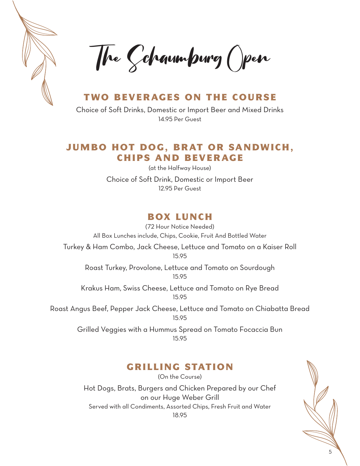

The Schaumburg Open

#### TWO BEVERAGES ON THE COURSE

Choice of Soft Drinks, Domestic or Import Beer and Mixed Drinks 14.95 Per Guest

#### JUMBO HOT DOG, BRAT OR SANDWICH, CHIPS AND BEVERAGE

(at the Halfway House) Choice of Soft Drink, Domestic or Import Beer 12.95 Per Guest

# BOX LUNCH

(72 Hour Notice Needed) All Box Lunches include, Chips, Cookie, Fruit And Bottled Water Turkey & Ham Combo, Jack Cheese, Lettuce and Tomato on a Kaiser Roll 15.95 Roast Turkey, Provolone, Lettuce and Tomato on Sourdough 15.95 Krakus Ham, Swiss Cheese, Lettuce and Tomato on Rye Bread 15.95

Roast Angus Beef, Pepper Jack Cheese, Lettuce and Tomato on Chiabatta Bread 15.95

> Grilled Veggies with a Hummus Spread on Tomato Focaccia Bun 15.95

## GRILLING STATION

(On the Course) Hot Dogs, Brats, Burgers and Chicken Prepared by our Chef on our Huge Weber Grill Served with all Condiments, Assorted Chips, Fresh Fruit and Water 18.95

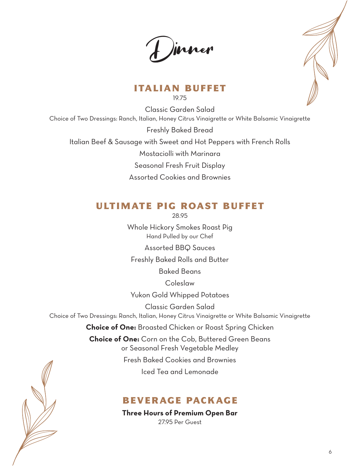**Dinner** 



## ITALIAN BUFFET

19.75

Classic Garden Salad Choice of Two Dressings: Ranch, Italian, Honey Citrus Vinaigrette or White Balsamic Vinaigrette Freshly Baked Bread Italian Beef & Sausage with Sweet and Hot Peppers with French Rolls Mostaciolli with Marinara Seasonal Fresh Fruit Display Assorted Cookies and Brownies

# ULTIMATE PIG ROAST BUFFET

28.95

Whole Hickory Smokes Roast Pig Hand Pulled by our Chef

Assorted BBQ Sauces

Freshly Baked Rolls and Butter

Baked Beans

Coleslaw

Yukon Gold Whipped Potatoes

Classic Garden Salad

Choice of Two Dressings: Ranch, Italian, Honey Citrus Vinaigrette or White Balsamic Vinaigrette

**Choice of One:** Broasted Chicken or Roast Spring Chicken

**Choice of One:** Corn on the Cob, Buttered Green Beans or Seasonal Fresh Vegetable Medley Fresh Baked Cookies and Brownies

Iced Tea and Lemonade

## BEVERAGE PACKAGE

**Three Hours of Premium Open Bar** 2795 Per Guest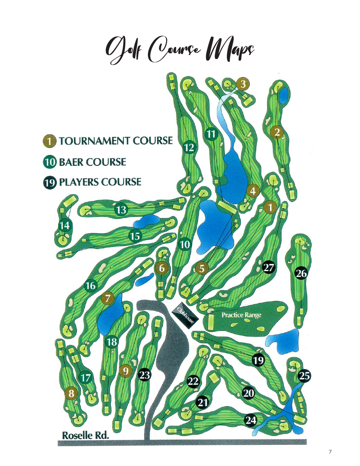Golf Course Maps

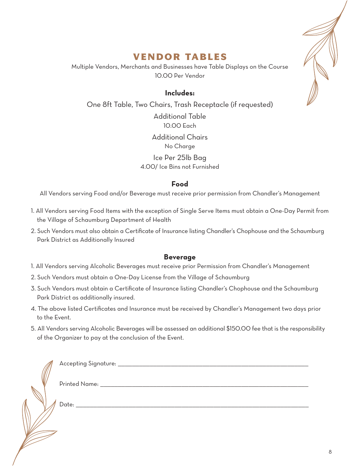## VENDOR TABLES

Multiple Vendors, Merchants and Businesses have Table Displays on the Course 10.00 Per Vendor

#### **Includes:**

One 8ft Table, Two Chairs, Trash Receptacle (if requested) Additional Table 10.00 Each Additional Chairs No Charge Ice Per 25lb Bag 4.00/ Ice Bins not Furnished

#### **Food**

All Vendors serving Food and/or Beverage must receive prior permission from Chandler's Management

- 1. All Vendors serving Food Items with the exception of Single Serve Items must obtain a One-Day Permit from the Village of Schaumburg Department of Health
- 2. Such Vendors must also obtain a Certificate of Insurance listing Chandler's Chophouse and the Schaumburg Park District as Additionally Insured

#### **Beverage**

- 1. All Vendors serving Alcoholic Beverages must receive prior Permission from Chandler's Management
- 2. Such Vendors must obtain a One-Day License from the Village of Schaumburg
- 3. Such Vendors must obtain a Certificate of Insurance listing Chandler's Chophouse and the Schaumburg Park District as additionally insured.
- 4. The above listed Certificates and Insurance must be received by Chandler's Management two days prior to the Event.
- 5. All Vendors serving Alcoholic Beverages will be assessed an additional \$150.00 fee that is the responsibility of the Organizer to pay at the conclusion of the Event.



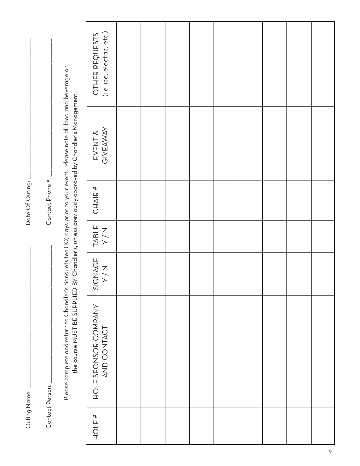| ı        |        |
|----------|--------|
| I        |        |
|          |        |
|          | )<br>ĺ |
| ĺ<br>ׇ֚֘ |        |

Date Of Outing: \_\_\_\_\_\_\_\_\_\_\_\_\_\_\_\_\_\_\_\_\_\_\_\_\_\_\_\_\_\_\_\_\_\_\_\_\_\_\_\_ Date Of Outing:

> Contact Person: Contact Person:

 $\hbox{Content Phone}$  #: Contact Phone #:

Please complete and return to Chandler's Banquets ten (10) days prior to your event. Please note all food and beverage on Please complete and return to Chandler's Banquets ten (10) days prior to your event. Please note all food and beverage on the course MUST BE SUPPLIED BY Chandler's, unless previously approved by Chandler's Management. the course MUST BE SUPPLIED BY Chandler's, unless previously approved by Chandler's Management.

|        |                                     |                       |              | יים<br>סוגר ג'ן<br>ג'ן | י<br>ת              |                                              |
|--------|-------------------------------------|-----------------------|--------------|------------------------|---------------------|----------------------------------------------|
| # JIOH | HOLE SPONSOR COMPANY<br>AND CONTACT | SIGNAGE<br>Y/N<br>Y/N | TABLE<br>Y/N | $CHAIR$ #              | EVENT &<br>GIVEAWAY | OTHER REQUESTS<br>(i.e. ice, electric, etc.) |
|        |                                     |                       |              |                        |                     |                                              |
|        |                                     |                       |              |                        |                     |                                              |
|        |                                     |                       |              |                        |                     |                                              |
|        |                                     |                       |              |                        |                     |                                              |
|        |                                     |                       |              |                        |                     |                                              |
|        |                                     |                       |              |                        |                     |                                              |
|        |                                     |                       |              |                        |                     |                                              |
|        |                                     |                       |              |                        |                     |                                              |
|        |                                     |                       |              |                        |                     |                                              |